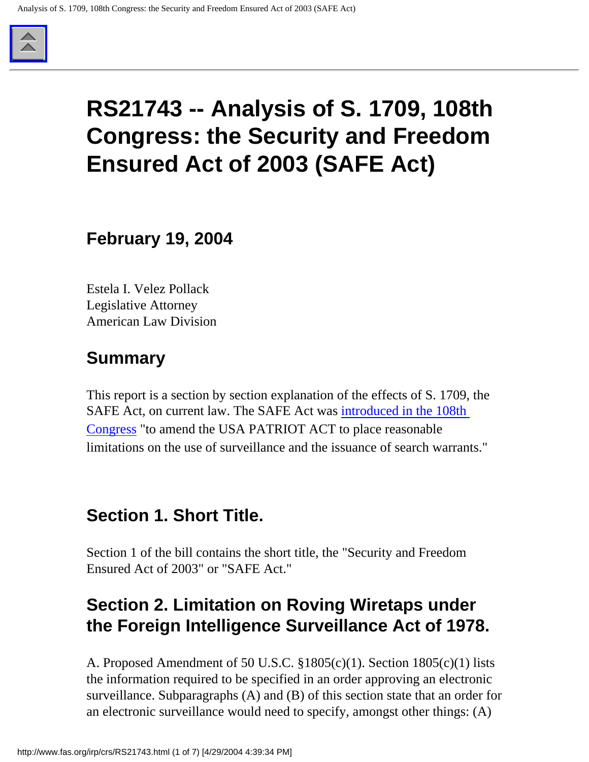

# **RS21743 -- Analysis of S. 1709, 108th Congress: the Security and Freedom Ensured Act of 2003 (SAFE Act)**

**February 19, 2004**

Estela I. Velez Pollack Legislative Attorney American Law Division

## **Summary**

This report is a section by section explanation of the effects of S. 1709, the SAFE Act, on current law. The SAFE Act was [introduced in the 108th](http://www.fas.org/irp/congress/2003_cr/s1709.html) [Congress](http://www.fas.org/irp/congress/2003_cr/s1709.html) "to amend the USA PATRIOT ACT to place reasonable limitations on the use of surveillance and the issuance of search warrants."

## **Section 1. Short Title.**

Section 1 of the bill contains the short title, the "Security and Freedom Ensured Act of 2003" or "SAFE Act."

# **Section 2. Limitation on Roving Wiretaps under the Foreign Intelligence Surveillance Act of 1978.**

A. Proposed Amendment of 50 U.S.C. §1805(c)(1). Section 1805(c)(1) lists the information required to be specified in an order approving an electronic surveillance. Subparagraphs (A) and (B) of this section state that an order for an electronic surveillance would need to specify, amongst other things: (A)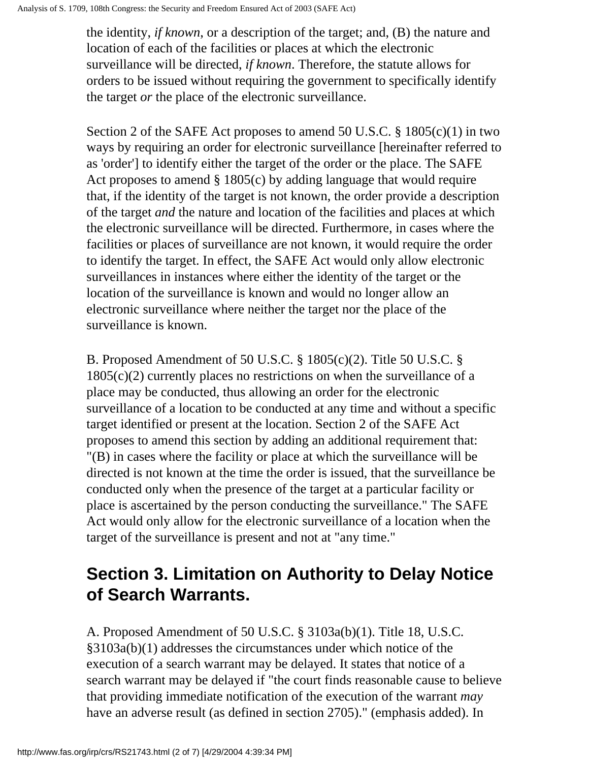the identity, *if known*, or a description of the target; and, (B) the nature and location of each of the facilities or places at which the electronic surveillance will be directed, *if known*. Therefore, the statute allows for orders to be issued without requiring the government to specifically identify the target *or* the place of the electronic surveillance.

Section 2 of the SAFE Act proposes to amend 50 U.S.C. § 1805(c)(1) in two ways by requiring an order for electronic surveillance [hereinafter referred to as 'order'] to identify either the target of the order or the place. The SAFE Act proposes to amend § 1805(c) by adding language that would require that, if the identity of the target is not known, the order provide a description of the target *and* the nature and location of the facilities and places at which the electronic surveillance will be directed. Furthermore, in cases where the facilities or places of surveillance are not known, it would require the order to identify the target. In effect, the SAFE Act would only allow electronic surveillances in instances where either the identity of the target or the location of the surveillance is known and would no longer allow an electronic surveillance where neither the target nor the place of the surveillance is known.

B. Proposed Amendment of 50 U.S.C. § 1805(c)(2). Title 50 U.S.C. §  $1805(c)(2)$  currently places no restrictions on when the surveillance of a place may be conducted, thus allowing an order for the electronic surveillance of a location to be conducted at any time and without a specific target identified or present at the location. Section 2 of the SAFE Act proposes to amend this section by adding an additional requirement that: "(B) in cases where the facility or place at which the surveillance will be directed is not known at the time the order is issued, that the surveillance be conducted only when the presence of the target at a particular facility or place is ascertained by the person conducting the surveillance." The SAFE Act would only allow for the electronic surveillance of a location when the target of the surveillance is present and not at "any time."

# **Section 3. Limitation on Authority to Delay Notice of Search Warrants.**

A. Proposed Amendment of 50 U.S.C. § 3103a(b)(1). Title 18, U.S.C. §3103a(b)(1) addresses the circumstances under which notice of the execution of a search warrant may be delayed. It states that notice of a search warrant may be delayed if "the court finds reasonable cause to believe that providing immediate notification of the execution of the warrant *may* have an adverse result (as defined in section 2705)." (emphasis added). In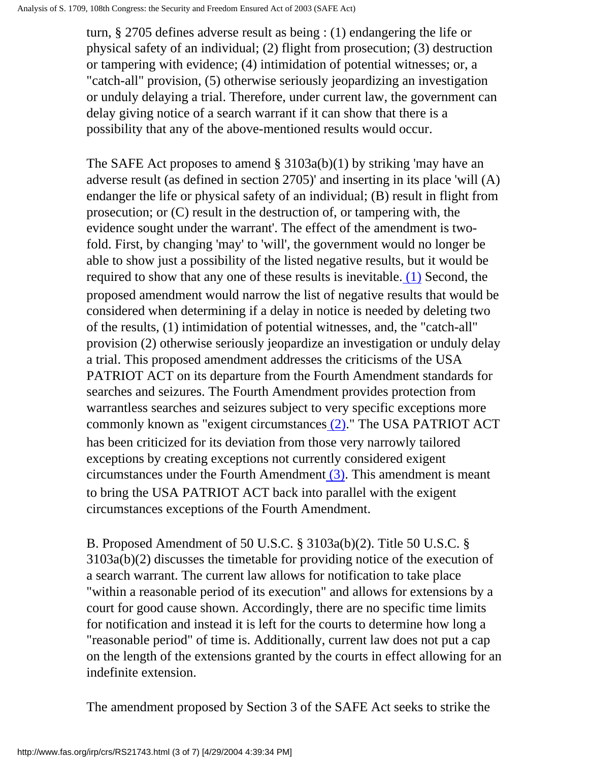turn, § 2705 defines adverse result as being : (1) endangering the life or physical safety of an individual; (2) flight from prosecution; (3) destruction or tampering with evidence; (4) intimidation of potential witnesses; or, a "catch-all" provision, (5) otherwise seriously jeopardizing an investigation or unduly delaying a trial. Therefore, under current law, the government can delay giving notice of a search warrant if it can show that there is a possibility that any of the above-mentioned results would occur.

<span id="page-2-0"></span>The SAFE Act proposes to amend § 3103a(b)(1) by striking 'may have an adverse result (as defined in section 2705)' and inserting in its place 'will (A) endanger the life or physical safety of an individual; (B) result in flight from prosecution; or (C) result in the destruction of, or tampering with, the evidence sought under the warrant'. The effect of the amendment is twofold. First, by changing 'may' to 'will', the government would no longer be able to show just a possibility of the listed negative results, but it would be required to show that any one of these results is inevitable. [\(1\)](#page-6-0) Second, the proposed amendment would narrow the list of negative results that would be considered when determining if a delay in notice is needed by deleting two of the results, (1) intimidation of potential witnesses, and, the "catch-all" provision (2) otherwise seriously jeopardize an investigation or unduly delay a trial. This proposed amendment addresses the criticisms of the USA PATRIOT ACT on its departure from the Fourth Amendment standards for searches and seizures. The Fourth Amendment provides protection from warrantless searches and seizures subject to very specific exceptions more commonly known as "exigent circumstances [\(2\).](#page-6-1)" The USA PATRIOT ACT has been criticized for its deviation from those very narrowly tailored exceptions by creating exceptions not currently considered exigent circumstances under the Fourth Amendment [\(3\).](#page-6-2) This amendment is meant to bring the USA PATRIOT ACT back into parallel with the exigent circumstances exceptions of the Fourth Amendment.

<span id="page-2-2"></span><span id="page-2-1"></span>B. Proposed Amendment of 50 U.S.C. § 3103a(b)(2). Title 50 U.S.C. § 3103a(b)(2) discusses the timetable for providing notice of the execution of a search warrant. The current law allows for notification to take place "within a reasonable period of its execution" and allows for extensions by a court for good cause shown. Accordingly, there are no specific time limits for notification and instead it is left for the courts to determine how long a "reasonable period" of time is. Additionally, current law does not put a cap on the length of the extensions granted by the courts in effect allowing for an indefinite extension.

The amendment proposed by Section 3 of the SAFE Act seeks to strike the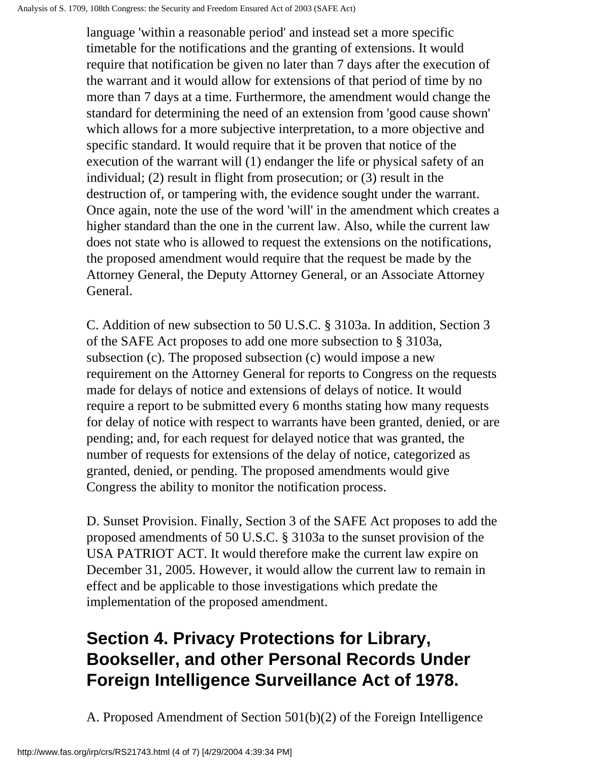language 'within a reasonable period' and instead set a more specific timetable for the notifications and the granting of extensions. It would require that notification be given no later than 7 days after the execution of the warrant and it would allow for extensions of that period of time by no more than 7 days at a time. Furthermore, the amendment would change the standard for determining the need of an extension from 'good cause shown' which allows for a more subjective interpretation, to a more objective and specific standard. It would require that it be proven that notice of the execution of the warrant will (1) endanger the life or physical safety of an individual; (2) result in flight from prosecution; or (3) result in the destruction of, or tampering with, the evidence sought under the warrant. Once again, note the use of the word 'will' in the amendment which creates a higher standard than the one in the current law. Also, while the current law does not state who is allowed to request the extensions on the notifications, the proposed amendment would require that the request be made by the Attorney General, the Deputy Attorney General, or an Associate Attorney General.

C. Addition of new subsection to 50 U.S.C. § 3103a. In addition, Section 3 of the SAFE Act proposes to add one more subsection to § 3103a, subsection (c). The proposed subsection (c) would impose a new requirement on the Attorney General for reports to Congress on the requests made for delays of notice and extensions of delays of notice. It would require a report to be submitted every 6 months stating how many requests for delay of notice with respect to warrants have been granted, denied, or are pending; and, for each request for delayed notice that was granted, the number of requests for extensions of the delay of notice, categorized as granted, denied, or pending. The proposed amendments would give Congress the ability to monitor the notification process.

D. Sunset Provision. Finally, Section 3 of the SAFE Act proposes to add the proposed amendments of 50 U.S.C. § 3103a to the sunset provision of the USA PATRIOT ACT. It would therefore make the current law expire on December 31, 2005. However, it would allow the current law to remain in effect and be applicable to those investigations which predate the implementation of the proposed amendment.

# **Section 4. Privacy Protections for Library, Bookseller, and other Personal Records Under Foreign Intelligence Surveillance Act of 1978.**

A. Proposed Amendment of Section 501(b)(2) of the Foreign Intelligence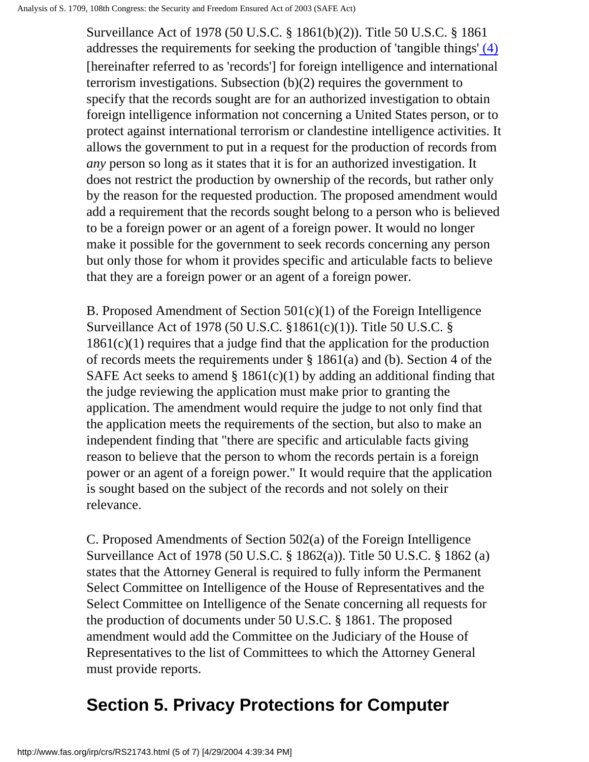<span id="page-4-0"></span>Surveillance Act of 1978 (50 U.S.C. § 1861(b)(2)). Title 50 U.S.C. § 1861 addresses the requirements for seeking the production of 'tangible things' [\(4\)](#page-6-3) [hereinafter referred to as 'records'] for foreign intelligence and international terrorism investigations. Subsection (b)(2) requires the government to specify that the records sought are for an authorized investigation to obtain foreign intelligence information not concerning a United States person, or to protect against international terrorism or clandestine intelligence activities. It allows the government to put in a request for the production of records from *any* person so long as it states that it is for an authorized investigation. It does not restrict the production by ownership of the records, but rather only by the reason for the requested production. The proposed amendment would add a requirement that the records sought belong to a person who is believed to be a foreign power or an agent of a foreign power. It would no longer make it possible for the government to seek records concerning any person but only those for whom it provides specific and articulable facts to believe that they are a foreign power or an agent of a foreign power.

B. Proposed Amendment of Section 501(c)(1) of the Foreign Intelligence Surveillance Act of 1978 (50 U.S.C. §1861(c)(1)). Title 50 U.S.C. §  $1861(c)(1)$  requires that a judge find that the application for the production of records meets the requirements under  $\S 1861(a)$  and (b). Section 4 of the SAFE Act seeks to amend  $\S 1861(c)(1)$  by adding an additional finding that the judge reviewing the application must make prior to granting the application. The amendment would require the judge to not only find that the application meets the requirements of the section, but also to make an independent finding that "there are specific and articulable facts giving reason to believe that the person to whom the records pertain is a foreign power or an agent of a foreign power." It would require that the application is sought based on the subject of the records and not solely on their relevance.

C. Proposed Amendments of Section 502(a) of the Foreign Intelligence Surveillance Act of 1978 (50 U.S.C. § 1862(a)). Title 50 U.S.C. § 1862 (a) states that the Attorney General is required to fully inform the Permanent Select Committee on Intelligence of the House of Representatives and the Select Committee on Intelligence of the Senate concerning all requests for the production of documents under 50 U.S.C. § 1861. The proposed amendment would add the Committee on the Judiciary of the House of Representatives to the list of Committees to which the Attorney General must provide reports.

# **Section 5. Privacy Protections for Computer**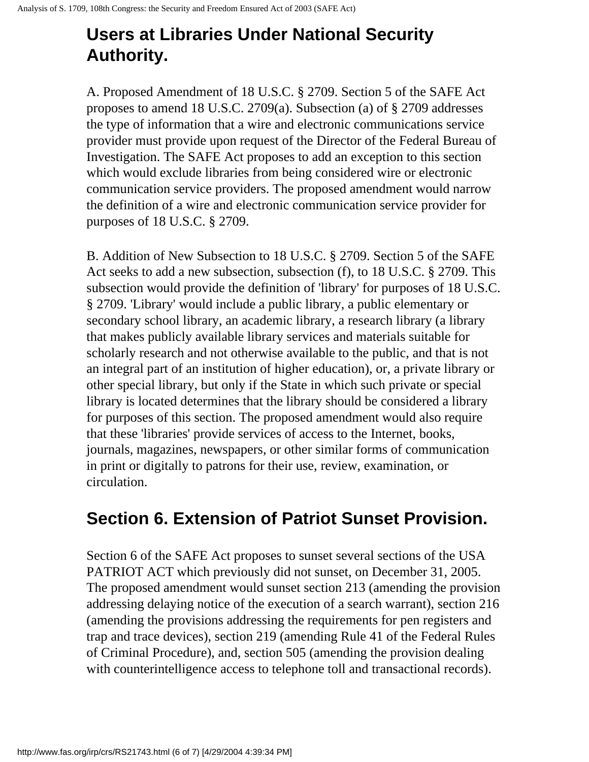# **Users at Libraries Under National Security Authority.**

A. Proposed Amendment of 18 U.S.C. § 2709. Section 5 of the SAFE Act proposes to amend 18 U.S.C. 2709(a). Subsection (a) of § 2709 addresses the type of information that a wire and electronic communications service provider must provide upon request of the Director of the Federal Bureau of Investigation. The SAFE Act proposes to add an exception to this section which would exclude libraries from being considered wire or electronic communication service providers. The proposed amendment would narrow the definition of a wire and electronic communication service provider for purposes of 18 U.S.C. § 2709.

B. Addition of New Subsection to 18 U.S.C. § 2709. Section 5 of the SAFE Act seeks to add a new subsection, subsection (f), to 18 U.S.C. § 2709. This subsection would provide the definition of 'library' for purposes of 18 U.S.C. § 2709. 'Library' would include a public library, a public elementary or secondary school library, an academic library, a research library (a library that makes publicly available library services and materials suitable for scholarly research and not otherwise available to the public, and that is not an integral part of an institution of higher education), or, a private library or other special library, but only if the State in which such private or special library is located determines that the library should be considered a library for purposes of this section. The proposed amendment would also require that these 'libraries' provide services of access to the Internet, books, journals, magazines, newspapers, or other similar forms of communication in print or digitally to patrons for their use, review, examination, or circulation.

## **Section 6. Extension of Patriot Sunset Provision.**

Section 6 of the SAFE Act proposes to sunset several sections of the USA PATRIOT ACT which previously did not sunset, on December 31, 2005. The proposed amendment would sunset section 213 (amending the provision addressing delaying notice of the execution of a search warrant), section 216 (amending the provisions addressing the requirements for pen registers and trap and trace devices), section 219 (amending Rule 41 of the Federal Rules of Criminal Procedure), and, section 505 (amending the provision dealing with counterintelligence access to telephone toll and transactional records).